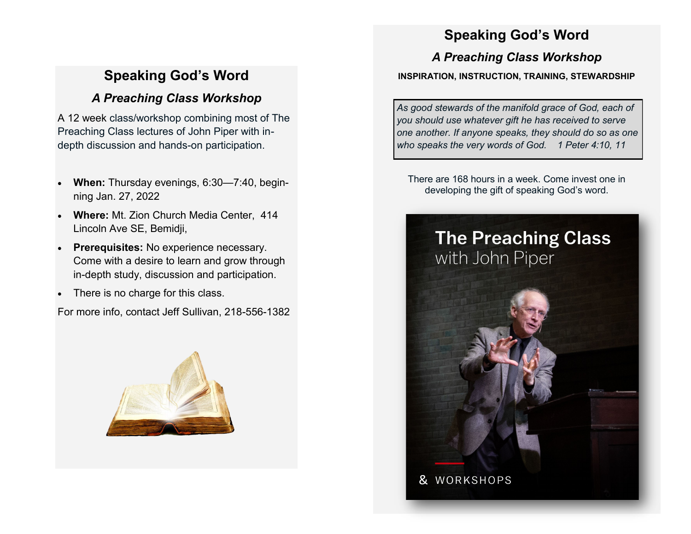# **Speaking God's Word**

## *A Preaching Class Workshop*

A 12 week class/workshop combining most of The Preaching Class lectures of John Piper with indepth discussion and hands-on participation.

- **When:** Thursday evenings, 6:30—7:40, beginning Jan. 27, 2022
- **Where:** Mt. Zion Church Media Center, 414 Lincoln Ave SE, Bemidji,
- **Prerequisites:** No experience necessary. Come with a desire to learn and grow through in-depth study, discussion and participation.
- There is no charge for this class.

For more info, contact Jeff Sullivan, 218-556-1382



## **Speaking God's Word**

### *A Preaching Class Workshop*

#### **INSPIRATION, INSTRUCTION, TRAINING, STEWARDSHIP**

*As good stewards of the manifold grace of God, each of you should use whatever gift he has received to serve one another. If anyone speaks, they should do so as one who speaks the very words of God. 1 Peter 4:10, 11*

There are 168 hours in a week. Come invest one in developing the gift of speaking God's word.

# **The Preaching Class** with John Piper

& WORKSHOPS